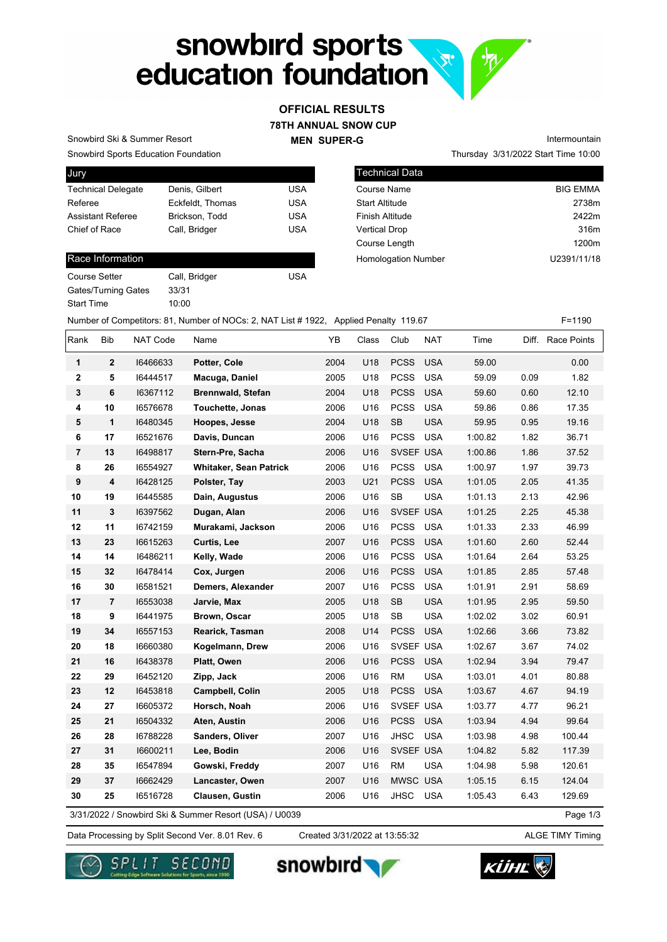# snowbird sports<br>education foundation **R**

## **78TH ANNUAL SNOW CUP MEN SUPER-G OFFICIAL RESULTS**

Snowbird Sports Education Foundation Snowbird Ski & Summer Resort

| Jury                      |                  |            |
|---------------------------|------------------|------------|
| <b>Technical Delegate</b> | Denis, Gilbert   | USA        |
| Referee                   | Eckfeldt. Thomas | <b>USA</b> |
| <b>Assistant Referee</b>  | Brickson, Todd   | <b>USA</b> |
| Chief of Race             | Call, Bridger    | <b>USA</b> |
|                           |                  |            |

#### Race Information

| Call, Bridger | USA |
|---------------|-----|
| 33/31         |     |
| 10:00         |     |
|               |     |

Thursday 3/31/2022 Start Time 10:00 Intermountain

| Technical Data             |                 |
|----------------------------|-----------------|
| Course Name                | <b>BIG EMMA</b> |
| <b>Start Altitude</b>      | 2738m           |
| <b>Finish Altitude</b>     | 2422m           |
| <b>Vertical Drop</b>       | 316m            |
| Course Length              | 1200m           |
| <b>Homologation Number</b> | U2391/11/18     |
|                            |                 |

Number of Competitors: 81, Number of NOCs: 2, NAT List # 1922, Applied Penalty 119.67 F=1190

| Rank           | Bib            | NAT Code | Name                                                   | ΥB   | Class | Club        | <b>NAT</b> | Time    |      | Diff. Race Points |
|----------------|----------------|----------|--------------------------------------------------------|------|-------|-------------|------------|---------|------|-------------------|
| 1              | $\mathbf{2}$   | 16466633 | Potter, Cole                                           | 2004 | U18   | <b>PCSS</b> | <b>USA</b> | 59.00   |      | 0.00              |
| 2              | 5              | 16444517 | Macuga, Daniel                                         | 2005 | U18   | <b>PCSS</b> | <b>USA</b> | 59.09   | 0.09 | 1.82              |
| 3              | 6              | 16367112 | <b>Brennwald, Stefan</b>                               | 2004 | U18   | <b>PCSS</b> | <b>USA</b> | 59.60   | 0.60 | 12.10             |
| 4              | 10             | 16576678 | Touchette, Jonas                                       | 2006 | U16   | <b>PCSS</b> | <b>USA</b> | 59.86   | 0.86 | 17.35             |
| ${\bf 5}$      | $\mathbf{1}$   | 16480345 | Hoopes, Jesse                                          | 2004 | U18   | SB          | <b>USA</b> | 59.95   | 0.95 | 19.16             |
| 6              | 17             | 16521676 | Davis, Duncan                                          | 2006 | U16   | <b>PCSS</b> | <b>USA</b> | 1:00.82 | 1.82 | 36.71             |
| $\overline{7}$ | 13             | 16498817 | Stern-Pre, Sacha                                       | 2006 | U16   | SVSEF USA   |            | 1:00.86 | 1.86 | 37.52             |
| 8              | 26             | 16554927 | <b>Whitaker, Sean Patrick</b>                          | 2006 | U16   | <b>PCSS</b> | <b>USA</b> | 1:00.97 | 1.97 | 39.73             |
| 9              | 4              | 16428125 | Polster, Tay                                           | 2003 | U21   | <b>PCSS</b> | <b>USA</b> | 1:01.05 | 2.05 | 41.35             |
| 10             | 19             | 16445585 | Dain, Augustus                                         | 2006 | U16   | SB          | <b>USA</b> | 1:01.13 | 2.13 | 42.96             |
| 11             | 3              | 16397562 | Dugan, Alan                                            | 2006 | U16   | SVSEF USA   |            | 1:01.25 | 2.25 | 45.38             |
| 12             | 11             | 16742159 | Murakami, Jackson                                      | 2006 | U16   | <b>PCSS</b> | <b>USA</b> | 1:01.33 | 2.33 | 46.99             |
| 13             | 23             | 16615263 | Curtis, Lee                                            | 2007 | U16   | <b>PCSS</b> | <b>USA</b> | 1:01.60 | 2.60 | 52.44             |
| 14             | 14             | 16486211 | Kelly, Wade                                            | 2006 | U16   | <b>PCSS</b> | <b>USA</b> | 1:01.64 | 2.64 | 53.25             |
| 15             | 32             | 16478414 | Cox, Jurgen                                            | 2006 | U16   | <b>PCSS</b> | <b>USA</b> | 1:01.85 | 2.85 | 57.48             |
| 16             | 30             | 16581521 | Demers, Alexander                                      | 2007 | U16   | <b>PCSS</b> | <b>USA</b> | 1:01.91 | 2.91 | 58.69             |
| 17             | $\overline{7}$ | 16553038 | Jarvie, Max                                            | 2005 | U18   | <b>SB</b>   | <b>USA</b> | 1:01.95 | 2.95 | 59.50             |
| 18             | 9              | 16441975 | Brown, Oscar                                           | 2005 | U18   | <b>SB</b>   | <b>USA</b> | 1:02.02 | 3.02 | 60.91             |
| 19             | 34             | 16557153 | Rearick, Tasman                                        | 2008 | U14   | <b>PCSS</b> | <b>USA</b> | 1:02.66 | 3.66 | 73.82             |
| 20             | 18             | 16660380 | Kogelmann, Drew                                        | 2006 | U16   | SVSEF USA   |            | 1:02.67 | 3.67 | 74.02             |
| 21             | 16             | 16438378 | Platt, Owen                                            | 2006 | U16   | <b>PCSS</b> | <b>USA</b> | 1:02.94 | 3.94 | 79.47             |
| 22             | 29             | 16452120 | Zipp, Jack                                             | 2006 | U16   | <b>RM</b>   | <b>USA</b> | 1:03.01 | 4.01 | 80.88             |
| 23             | 12             | 16453818 | Campbell, Colin                                        | 2005 | U18   | <b>PCSS</b> | <b>USA</b> | 1:03.67 | 4.67 | 94.19             |
| 24             | 27             | 16605372 | Horsch, Noah                                           | 2006 | U16   | SVSEF USA   |            | 1:03.77 | 4.77 | 96.21             |
| 25             | 21             | 16504332 | Aten, Austin                                           | 2006 | U16   | <b>PCSS</b> | <b>USA</b> | 1:03.94 | 4.94 | 99.64             |
| 26             | 28             | 16788228 | Sanders, Oliver                                        | 2007 | U16   | <b>JHSC</b> | <b>USA</b> | 1:03.98 | 4.98 | 100.44            |
| 27             | 31             | 16600211 | Lee, Bodin                                             | 2006 | U16   | SVSEF USA   |            | 1:04.82 | 5.82 | 117.39            |
| 28             | 35             | 16547894 | Gowski, Freddy                                         | 2007 | U16   | <b>RM</b>   | <b>USA</b> | 1:04.98 | 5.98 | 120.61            |
| 29             | 37             | 16662429 | Lancaster, Owen                                        | 2007 | U16   | MWSC USA    |            | 1:05.15 | 6.15 | 124.04            |
| 30             | 25             | 16516728 | Clausen, Gustin                                        | 2006 | U16   | JHSC        | <b>USA</b> | 1:05.43 | 6.43 | 129.69            |
|                |                |          | 3/31/2022 / Snowbird Ski & Summer Resort (USA) / U0039 |      |       |             |            |         |      | Page 1/3          |

3/31/2022 / Snowbird Ski & Summer Resort (USA) / U0039

Data Processing by Split Second Ver. 8.01 Rev. 6 Created 3/31/2022 at 13:55:32 ALGE TIMY Timing Created 3/31/2022 at 13:55:32







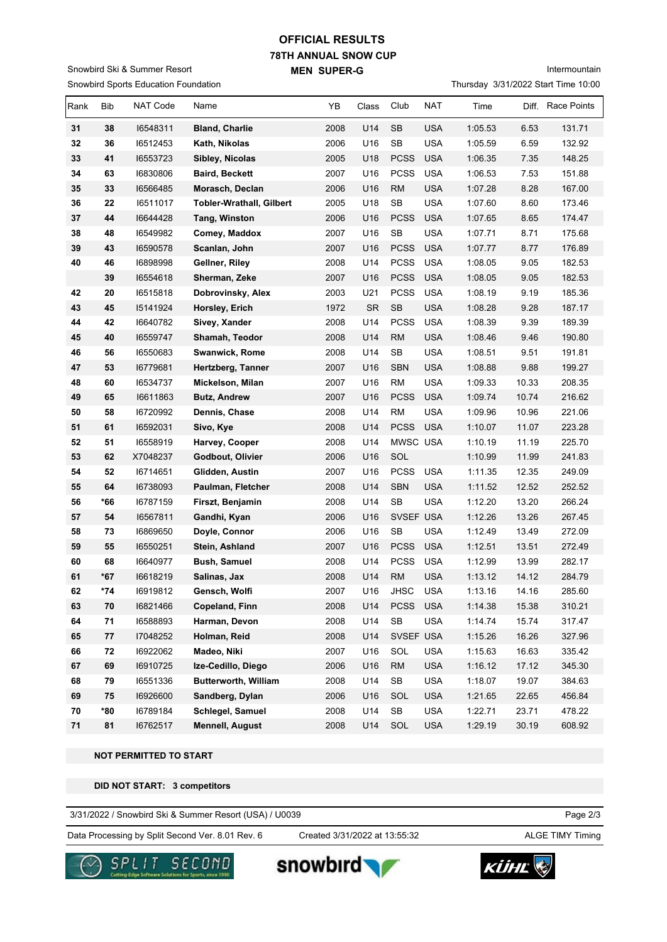## **78TH ANNUAL SNOW CUP MEN SUPER-G OFFICIAL RESULTS**

Snowbird Sports Education Foundation Snowbird Ski & Summer Resort

Intermountain

Thursday 3/31/2022 Start Time 10:00

| Rank | Bib        | NAT Code | Name                            | YB   | Class     | Club                 | NAT        | Time    | Diff. | Race Points |
|------|------------|----------|---------------------------------|------|-----------|----------------------|------------|---------|-------|-------------|
| 31   | 38         | 16548311 | <b>Bland, Charlie</b>           | 2008 | U14       | <b>SB</b>            | <b>USA</b> | 1:05.53 | 6.53  | 131.71      |
| 32   | 36         | 16512453 | Kath, Nikolas                   | 2006 | U16       | <b>SB</b>            | <b>USA</b> | 1:05.59 | 6.59  | 132.92      |
| 33   | 41         | 16553723 | Sibley, Nicolas                 | 2005 | U18       | <b>PCSS</b>          | <b>USA</b> | 1:06.35 | 7.35  | 148.25      |
| 34   | 63         | 16830806 | <b>Baird, Beckett</b>           | 2007 | U16       | <b>PCSS</b>          | <b>USA</b> | 1:06.53 | 7.53  | 151.88      |
| 35   | 33         | 16566485 | Morasch, Declan                 | 2006 | U16       | <b>RM</b>            | <b>USA</b> | 1:07.28 | 8.28  | 167.00      |
| 36   | 22         | 16511017 | <b>Tobler-Wrathall, Gilbert</b> | 2005 | U18       | SB                   | <b>USA</b> | 1:07.60 | 8.60  | 173.46      |
| 37   | 44         | 16644428 | Tang, Winston                   | 2006 | U16       | <b>PCSS</b>          | <b>USA</b> | 1:07.65 | 8.65  | 174.47      |
| 38   | 48         | 16549982 | Comey, Maddox                   | 2007 | U16       | SB                   | <b>USA</b> | 1:07.71 | 8.71  | 175.68      |
| 39   | 43         | 16590578 | Scanlan, John                   | 2007 | U16       | <b>PCSS</b>          | <b>USA</b> | 1:07.77 | 8.77  | 176.89      |
| 40   | 46         | 16898998 | Gellner, Riley                  | 2008 | U14       | <b>PCSS</b>          | <b>USA</b> | 1:08.05 | 9.05  | 182.53      |
|      | 39         | 16554618 | Sherman, Zeke                   | 2007 | U16       | <b>PCSS</b>          | <b>USA</b> | 1:08.05 | 9.05  | 182.53      |
| 42   | 20         | 16515818 | Dobrovinsky, Alex               | 2003 | U21       | <b>PCSS</b>          | <b>USA</b> | 1:08.19 | 9.19  | 185.36      |
| 43   | 45         | 15141924 | Horsley, Erich                  | 1972 | <b>SR</b> | SB                   | <b>USA</b> | 1:08.28 | 9.28  | 187.17      |
| 44   | 42         | 16640782 | Sivey, Xander                   | 2008 | U14       | <b>PCSS</b>          | <b>USA</b> | 1:08.39 | 9.39  | 189.39      |
| 45   | 40         | 16559747 | Shamah, Teodor                  | 2008 | U14       | <b>RM</b>            | <b>USA</b> | 1:08.46 | 9.46  | 190.80      |
| 46   | 56         | 16550683 | Swanwick, Rome                  | 2008 | U14       | SB                   | <b>USA</b> | 1:08.51 | 9.51  | 191.81      |
| 47   | 53         | 16779681 | Hertzberg, Tanner               | 2007 | U16       | <b>SBN</b>           | <b>USA</b> | 1:08.88 | 9.88  | 199.27      |
| 48   | 60         | 16534737 | Mickelson, Milan                | 2007 | U16       | RM                   | <b>USA</b> | 1:09.33 | 10.33 | 208.35      |
| 49   | 65         | 16611863 | <b>Butz, Andrew</b>             | 2007 | U16       | <b>PCSS</b>          | <b>USA</b> | 1:09.74 | 10.74 | 216.62      |
| 50   | 58         | 16720992 | Dennis, Chase                   | 2008 | U14       | <b>RM</b>            | <b>USA</b> | 1:09.96 | 10.96 | 221.06      |
| 51   | 61         | 16592031 | Sivo, Kye                       | 2008 | U14       | <b>PCSS</b>          | <b>USA</b> | 1:10.07 | 11.07 | 223.28      |
| 52   | 51         | 16558919 | Harvey, Cooper                  | 2008 | U14       | MWSC USA             |            | 1:10.19 | 11.19 | 225.70      |
| 53   | 62         | X7048237 | Godbout, Olivier                | 2006 | U16       | SOL                  |            | 1:10.99 | 11.99 | 241.83      |
| 54   | 52         | 16714651 | Glidden, Austin                 | 2007 | U16       | <b>PCSS</b>          | <b>USA</b> | 1:11.35 | 12.35 | 249.09      |
| 55   | 64         | 16738093 | Paulman, Fletcher               | 2008 | U14       | <b>SBN</b>           | <b>USA</b> | 1:11.52 | 12.52 | 252.52      |
| 56   | *66        | 16787159 | Firszt, Benjamin                | 2008 | U14       | SB                   | <b>USA</b> | 1:12.20 | 13.20 | 266.24      |
| 57   | 54         | 16567811 | Gandhi, Kyan                    | 2006 | U16       | SVSEF USA            |            | 1:12.26 | 13.26 | 267.45      |
| 58   | 73         | 16869650 | Doyle, Connor                   | 2006 | U16       | SB                   | <b>USA</b> | 1:12.49 | 13.49 | 272.09      |
| 59   | 55         | 16550251 | Stein, Ashland                  | 2007 | U16       | <b>PCSS</b>          | <b>USA</b> | 1:12.51 | 13.51 | 272.49      |
| 60   | 68         | 16640977 | <b>Bush, Samuel</b>             | 2008 | U14       | <b>PCSS</b>          | <b>USA</b> | 1:12.99 | 13.99 | 282.17      |
| 61   | *67        | 16618219 | Salinas, Jax                    | 2008 | U14       | RM                   | <b>USA</b> | 1:13.12 | 14.12 | 284.79      |
| 62   | $*74$      | 16919812 | Gensch, Wolfi                   | 2007 | U16       | JHSC                 | <b>USA</b> | 1:13.16 | 14.16 | 285.60      |
| 63   | 70         | 16821466 | Copeland, Finn                  | 2008 | U14       | <b>PCSS</b>          | <b>USA</b> | 1:14.38 | 15.38 | 310.21      |
| 64   | 71         | 16588893 | Harman, Devon                   | 2008 | U14       | $\mathsf{SB}\xspace$ | <b>USA</b> | 1:14.74 | 15.74 | 317.47      |
| 65   | 77         | 17048252 | Holman, Reid                    | 2008 | U14       | SVSEF USA            |            | 1:15.26 | 16.26 | 327.96      |
| 66   | ${\bf 72}$ | 16922062 | Madeo, Niki                     | 2007 | U16       | SOL                  | USA        | 1:15.63 | 16.63 | 335.42      |
| 67   | 69         | 16910725 | Ize-Cedillo, Diego              | 2006 | U16       | <b>RM</b>            | <b>USA</b> | 1:16.12 | 17.12 | 345.30      |
| 68   | 79         | 16551336 | <b>Butterworth, William</b>     | 2008 | U14       | SB                   | <b>USA</b> | 1:18.07 | 19.07 | 384.63      |
| 69   | 75         | 16926600 | Sandberg, Dylan                 | 2006 | U16       | SOL                  | <b>USA</b> | 1:21.65 | 22.65 | 456.84      |
| 70   | *80        | 16789184 | Schlegel, Samuel                | 2008 | U14       | SB                   | <b>USA</b> | 1:22.71 | 23.71 | 478.22      |
| 71   | 81         | 16762517 | <b>Mennell, August</b>          | 2008 | U14       | SOL                  | <b>USA</b> | 1:29.19 | 30.19 | 608.92      |

 **NOT PERMITTED TO START**

 **DID NOT START: 3 competitors**

3/31/2022 / Snowbird Ski & Summer Resort (USA) / U0039

Data Processing by Split Second Ver. 8.01 Rev. 6 Created 3/31/2022 at 13:55:32 ALGE TIMY Timing

Created 3/31/2022 at 13:55:32

Page 2/3



snowbird